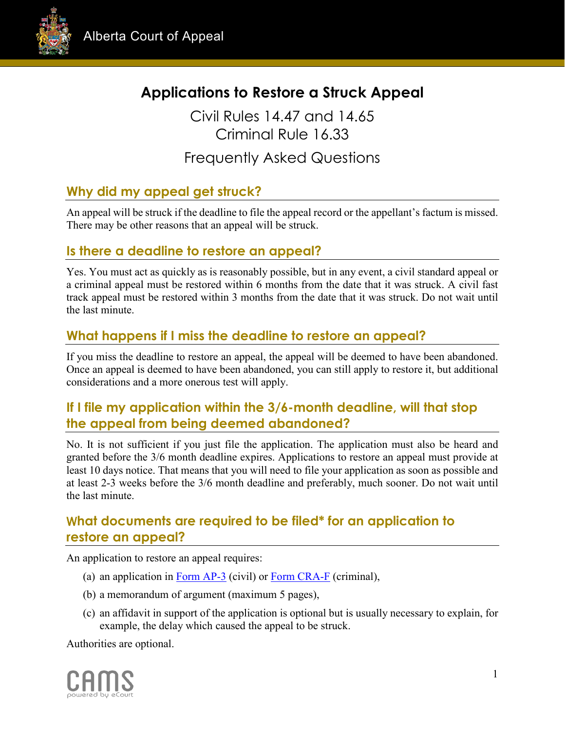

# **Applications to Restore a Struck Appeal**

Civil Rules 14.47 and 14.65 Criminal Rule 16.33 Frequently Asked Questions

# **Why did my appeal get struck?**

An appeal will be struck if the deadline to file the appeal record or the appellant's factum is missed. There may be other reasons that an appeal will be struck.

## **Is there a deadline to restore an appeal?**

Yes. You must act as quickly as is reasonably possible, but in any event, a civil standard appeal or a criminal appeal must be restored within 6 months from the date that it was struck. A civil fast track appeal must be restored within 3 months from the date that it was struck. Do not wait until the last minute.

## **What happens if I miss the deadline to restore an appeal?**

If you miss the deadline to restore an appeal, the appeal will be deemed to have been abandoned. Once an appeal is deemed to have been abandoned, you can still apply to restore it, but additional considerations and a more onerous test will apply.

#### **If I file my application within the 3/6-month deadline, will that stop the appeal from being deemed abandoned?**

No. It is not sufficient if you just file the application. The application must also be heard and granted before the 3/6 month deadline expires. Applications to restore an appeal must provide at least 10 days notice. That means that you will need to file your application as soon as possible and at least 2-3 weeks before the 3/6 month deadline and preferably, much sooner. Do not wait until the last minute.

#### W**hat documents are required to be filed\* for an application to restore an appeal?**

An application to restore an appeal requires:

- (a) an application in  $\overline{Form AP-3}$  (civil) or  $\overline{Form CRA-F}$  (criminal),
- (b) a memorandum of argument (maximum 5 pages),
- (c) an affidavit in support of the application is optional but is usually necessary to explain, for example, the delay which caused the appeal to be struck.

Authorities are optional.

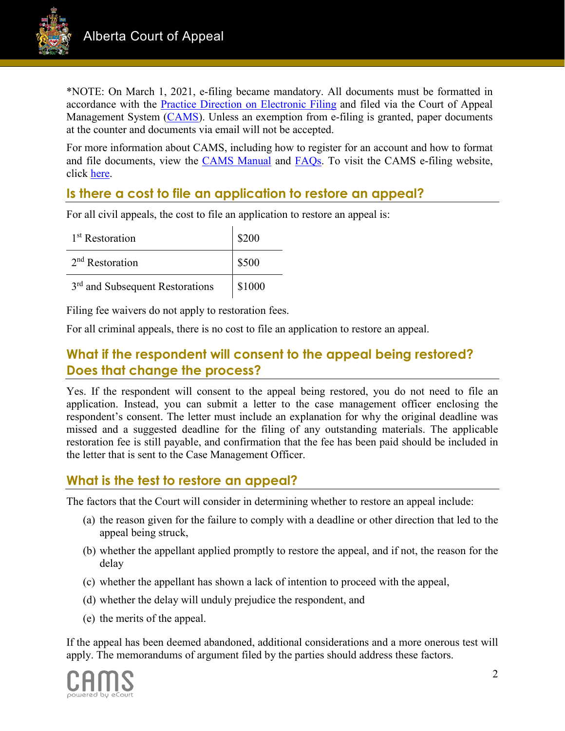

\*NOTE: On March 1, 2021, e-filing became mandatory. All documents must be formatted in accordance with the [Practice Direction on Electronic Filing](https://cams.albertacourts.ca/public-portal/files/practiceDirection.pdf) and filed via the Court of Appeal Management System [\(CAMS\)](https://cams.albertacourts.ca/public-portal/). Unless an exemption from e-filing is granted, paper documents at the counter and documents via email will not be accepted.

For more information about CAMS, including how to register for an account and how to format and file documents, view the [CAMS Manual](https://cams.albertacourts.ca/public-portal/files/CAMSManual.pdf) and [FAQs.](https://cams.albertacourts.ca/public-portal/files/FAQS.pdf) To visit the CAMS e-filing website, click [here.](https://cams.albertacourts.ca/public-portal/)

## **Is there a cost to file an application to restore an appeal?**

For all civil appeals, the cost to file an application to restore an appeal is:

| 1 <sup>st</sup> Restoration                 | \$200  |
|---------------------------------------------|--------|
| $2nd$ Restoration                           | \$500  |
| 3 <sup>rd</sup> and Subsequent Restorations | \$1000 |

Filing fee waivers do not apply to restoration fees.

For all criminal appeals, there is no cost to file an application to restore an appeal.

#### **What if the respondent will consent to the appeal being restored? Does that change the process?**

Yes. If the respondent will consent to the appeal being restored, you do not need to file an application. Instead, you can submit a letter to the case management officer enclosing the respondent's consent. The letter must include an explanation for why the original deadline was missed and a suggested deadline for the filing of any outstanding materials. The applicable restoration fee is still payable, and confirmation that the fee has been paid should be included in the letter that is sent to the Case Management Officer.

#### **What is the test to restore an appeal?**

The factors that the Court will consider in determining whether to restore an appeal include:

- (a) the reason given for the failure to comply with a deadline or other direction that led to the appeal being struck,
- (b) whether the appellant applied promptly to restore the appeal, and if not, the reason for the delay
- (c) whether the appellant has shown a lack of intention to proceed with the appeal,
- (d) whether the delay will unduly prejudice the respondent, and
- (e) the merits of the appeal.

If the appeal has been deemed abandoned, additional considerations and a more onerous test will apply. The memorandums of argument filed by the parties should address these factors.